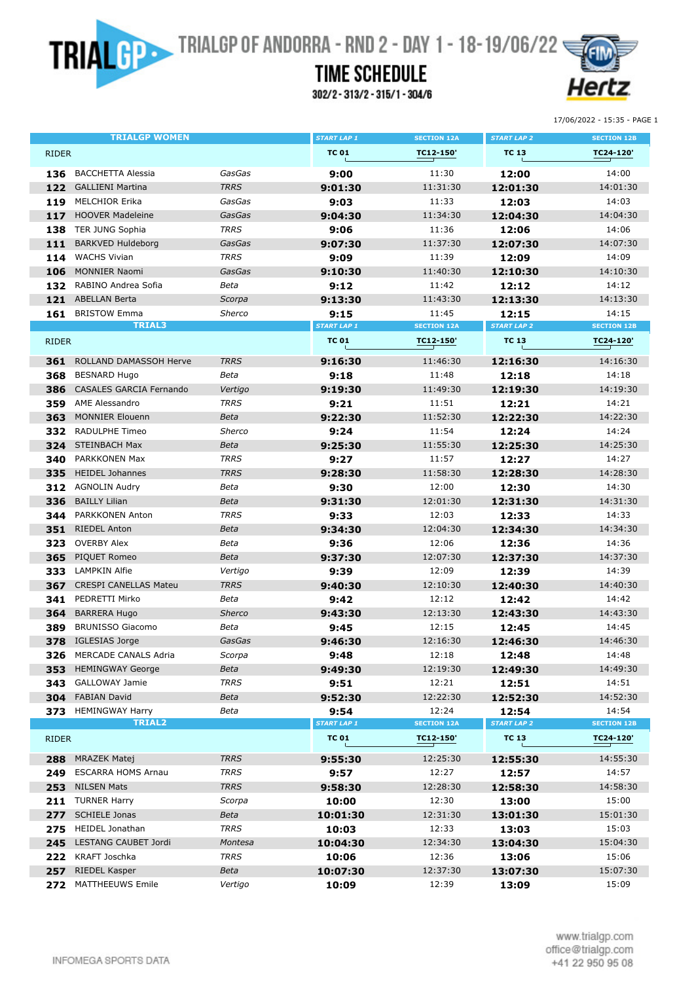**TRIAL CONSERVATION TRIALGP OF ANDORRA - RND 2 - DAY 1 - 18-19/06/22** 

## **TIME SCHEDULE**

302/2-313/2-315/1-304/6



17/06/2022 - 15:35 - PAGE 1

|              | TRIALGP WOMEN                        |             | <b>START LAP 1</b>         | <b>SECTION 12A</b> | <b>START LAP 2</b>          | <b>SECTION 12B</b> |
|--------------|--------------------------------------|-------------|----------------------------|--------------------|-----------------------------|--------------------|
| <b>RIDER</b> |                                      |             | <b>TC 01</b>               | TC12-150'          | <b>TC 13</b>                | TC24-120'          |
| 136          | <b>BACCHETTA Alessia</b>             | GasGas      | 9:00                       | 11:30              | 12:00                       | 14:00              |
| 122          | <b>GALLIENI Martina</b>              | <b>TRRS</b> | 9:01:30                    | 11:31:30           | 12:01:30                    | 14:01:30           |
| 119          | <b>MELCHIOR Erika</b>                | GasGas      | 9:03                       | 11:33              | 12:03                       | 14:03              |
| 117          | <b>HOOVER Madeleine</b>              | GasGas      | 9:04:30                    | 11:34:30           | 12:04:30                    | 14:04:30           |
| 138          | <b>TER JUNG Sophia</b>               | <b>TRRS</b> | 9:06                       | 11:36              | 12:06                       | 14:06              |
| 111          | <b>BARKVED Huldeborg</b>             | GasGas      | 9:07:30                    | 11:37:30           | 12:07:30                    | 14:07:30           |
| 114          | <b>WACHS Vivian</b>                  | <b>TRRS</b> | 9:09                       | 11:39              | 12:09                       | 14:09              |
| 106          | <b>MONNIER Naomi</b>                 | GasGas      | 9:10:30                    | 11:40:30           | 12:10:30                    | 14:10:30           |
| 132          | RABINO Andrea Sofia                  | Beta        | 9:12                       | 11:42              | 12:12                       | 14:12              |
| 121          | <b>ABELLAN Berta</b>                 | Scorpa      | 9:13:30                    | 11:43:30           | 12:13:30                    | 14:13:30           |
| 161          | <b>BRISTOW Emma</b>                  | Sherco      | 9:15                       | 11:45              | 12:15                       | 14:15              |
|              | <b>TRIAL3</b>                        |             | <b>START LAP 1</b>         | <b>SECTION 12A</b> | <b>START LAP 2</b>          | <b>SECTION 12B</b> |
| <b>RIDER</b> |                                      |             | <b>TC 01</b>               | TC12-150'          | <b>TC 13</b>                | TC24-120'          |
| 361          | ROLLAND DAMASSOH Herve               | <b>TRRS</b> | 9:16:30                    | 11:46:30           | 12:16:30                    | 14:16:30           |
| 368          | <b>BESNARD Hugo</b>                  | Beta        | 9:18                       | 11:48              | 12:18                       | 14:18              |
| 386          | <b>CASALES GARCIA Fernando</b>       | Vertigo     | 9:19:30                    | 11:49:30           | 12:19:30                    | 14:19:30           |
| 359          | <b>AME Alessandro</b>                | <b>TRRS</b> | 9:21                       | 11:51              | 12:21                       | 14:21              |
| 363          | <b>MONNIER Elouenn</b>               | Beta        | 9:22:30                    | 11:52:30           | 12:22:30                    | 14:22:30           |
| 332          | <b>RADULPHE Timeo</b>                | Sherco      | 9:24                       | 11:54              | 12:24                       | 14:24              |
|              | 324 STEINBACH Max                    | Beta        | 9:25:30                    | 11:55:30           | 12:25:30                    | 14:25:30           |
| 340          | PARKKONEN Max                        | <b>TRRS</b> | 9:27                       | 11:57              | 12:27                       | 14:27              |
| 335          | <b>HEIDEL Johannes</b>               | <b>TRRS</b> | 9:28:30                    | 11:58:30           | 12:28:30                    | 14:28:30           |
| 312          | <b>AGNOLIN Audry</b>                 | Beta        | 9:30                       | 12:00              | 12:30                       | 14:30              |
| 336          | <b>BAILLY Lilian</b>                 | Beta        | 9:31:30                    | 12:01:30           | 12:31:30                    | 14:31:30           |
| 344          | PARKKONEN Anton                      | <b>TRRS</b> | 9:33                       | 12:03              | 12:33                       | 14:33              |
| 351          | <b>RIEDEL Anton</b>                  | Beta        | 9:34:30                    | 12:04:30           | 12:34:30                    | 14:34:30           |
| 323          | <b>OVERBY Alex</b>                   | Beta        | 9:36                       | 12:06              | 12:36                       | 14:36              |
| 365          | PIQUET Romeo                         | Beta        | 9:37:30                    | 12:07:30           | 12:37:30                    | 14:37:30           |
| 333          | <b>LAMPKIN Alfie</b>                 | Vertigo     | 9:39                       | 12:09              | 12:39                       | 14:39              |
| 367          | <b>CRESPI CANELLAS Mateu</b>         | <b>TRRS</b> | 9:40:30                    | 12:10:30           | 12:40:30                    | 14:40:30           |
| 341          | PEDRETTI Mirko                       | Beta        | 9:42                       | 12:12              | 12:42                       | 14:42              |
| 364          | <b>BARRERA Hugo</b>                  | Sherco      | 9:43:30                    | 12:13:30           | 12:43:30                    | 14:43:30           |
| 389          | <b>BRUNISSO Giacomo</b>              | Beta        | 9:45                       | 12:15              | 12:45                       | 14:45              |
| 378          | <b>IGLESIAS Jorge</b>                | GasGas      | 9:46:30                    | 12:16:30           | 12:46:30                    | 14:46:30           |
| 326          | MERCADE CANALS Adria                 | Scorpa      | 9:48                       | 12:18              | 12:48                       | 14:48              |
|              | 353 HEMINGWAY George                 | Beta        | 9:49:30                    | 12:19:30           | 12:49:30                    | 14:49:30           |
|              | 343 GALLOWAY Jamie                   | <b>TRRS</b> | 9:51                       | 12:21              | 12:51                       | 14:51              |
|              | 304 FABIAN David                     | Beta        | 9:52:30                    | 12:22:30           | 12:52:30                    | 14:52:30           |
|              | 373 HEMINGWAY Harry<br><b>TRIAL2</b> | Beta        | 9:54<br><b>START LAP 1</b> | 12:24              | 12:54<br><b>START LAP 2</b> | 14:54              |
|              |                                      |             |                            | <b>SECTION 12A</b> |                             | <b>SECTION 12B</b> |
| <b>RIDER</b> |                                      |             | <b>TC 01</b>               | TC12-150'          | <b>TC 13</b>                | TC24-120'          |
|              | 288 MRAZEK Matej                     | <b>TRRS</b> | 9:55:30                    | 12:25:30           | 12:55:30                    | 14:55:30           |
| 249          | <b>ESCARRA HOMS Arnau</b>            | <b>TRRS</b> | 9:57                       | 12:27              | 12:57                       | 14:57              |
| 253          | <b>NILSEN Mats</b>                   | <b>TRRS</b> | 9:58:30                    | 12:28:30           | 12:58:30                    | 14:58:30           |
|              | 211 TURNER Harry                     | Scorpa      | 10:00                      | 12:30              | 13:00                       | 15:00              |
|              | 277 SCHIELE Jonas                    | Beta        | 10:01:30                   | 12:31:30           | 13:01:30                    | 15:01:30           |
|              | 275 HEIDEL Jonathan                  | <b>TRRS</b> | 10:03                      | 12:33              | 13:03                       | 15:03              |
| 245          | LESTANG CAUBET Jordi                 | Montesa     | 10:04:30                   | 12:34:30           | 13:04:30                    | 15:04:30           |
|              | 222 KRAFT Joschka                    | <b>TRRS</b> | 10:06                      | 12:36              | 13:06                       | 15:06              |
| 257          | RIEDEL Kasper                        | Beta        | 10:07:30                   | 12:37:30           | 13:07:30                    | 15:07:30           |
| 272          | MATTHEEUWS Emile                     | Vertigo     | 10:09                      | 12:39              | 13:09                       | 15:09              |